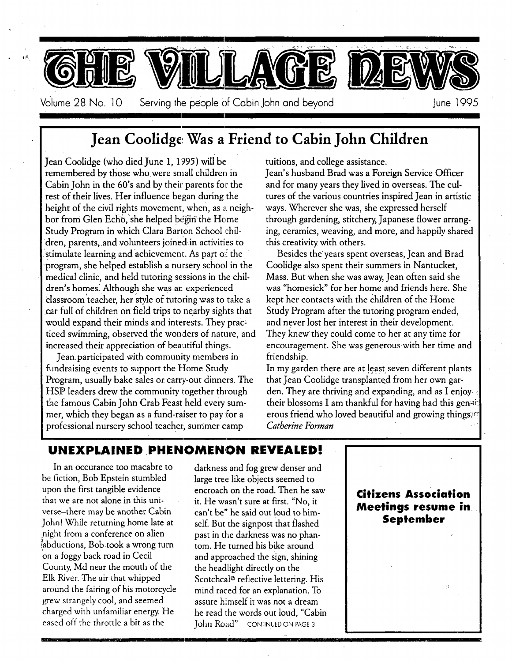

## **Jean Coolidge Was a Friend to Cabin John Children**

Jean Coolidge (who died June 1, 11995) will **be:**  remembered by those whowere small children in Cabin John in the 60's and by their parents for the rest of their lives..Her influence began during the height of the civil rights movement, when, as a neighbor from Glen Echo, she helped begin the Home Study Program in which Clara Barton School children, parents, and volunteers joined in activities to stimulate learning and achievement. As part of the program, she helped establish a nursery school in the medical clinic, and held tutoring sessions in the children's homes. Although she was an experienced classroom teacher, her style of tutoring was to take a car full of children on field trips to nearby sights that would expand their minds and interests. They prac: ticed swimming, observed the wonders of nature, and increased their appreciation of beaatiful things.

Jean participated with community members in fundraising events to support the Home Study Program, usually bake sales or carry-out dinners. The HSP leaders drew the community together through the famous Cabin John Crab Feast held every summer, which they began as a fund-raiser to pay for a professional nursery school teacher; summer camp

tuitions, and college assistance.

Jean's husband Brad was a Foreign Service Officer and for many years they lived in overseas. The cultures of the various countries inspired Jean in artistic ways. Wherever she was, she expressed herself through gardening, stitchery, Japanese flower arranging, ceramics, weaving, and more, and happily shared this creativity with others.

Besides the years spent overseas, Jean and Brad Coolidge also spent their summers in Nantucket, Mass. But whenshe was away, Jean often said **she**  was "homesick" for her home and friends here. She kept her contacts with the children of the Home Study Program after the tutoring program ended, and never lost her interest in their development. They knew they could come to her at any time for encouragement. She was generous with her time and friendship.

In my garden there are at least seven different plants that Jean Coolidge transplanted from her own garden. They are thriving and expanding, and as I enjoy their blossoms I am thankful for having had this gen $\ni k$ erous friend who loved beautiful and growing things:<sup>17</sup> *Catherine Forman " , !.* 

#### UNEXPLAINED PHENOMENON REVEALED!

In an occurance too macabre to be fiction, Bob Epstein stumbled upon the first tangible evidence that we are not alone in this universe-there may be another Cabin John! While returning home late at night from a conference on alien abductions, Bob took a wrong turn on a foggy back road in Cecil County, Md near the mouth of the Elk River. The air that whipped around the fairing of his motorcycle grew strangely cool, and **seemed**  charged with unfamiliar energy. He **eased** off the throttle a bit as the

darkness and fog grew denser and large tree like objects seemed to encroach on the road. Then he saw it. He wasn't sure at first. "No, it can't be" he said out loud to himself. But the signpost that flashed past in the darkness was no phantom. He turned his bike around and approached the sign, shining the headlight directly on the Scotchcal© reflective lettering. His mind raced for an explanation. To assure himself it was not a dream he read the words out loud, "Cabin John Road" CONTINUED ON PAGE 3

**Citizens Association Meetings resume in September** 

*I*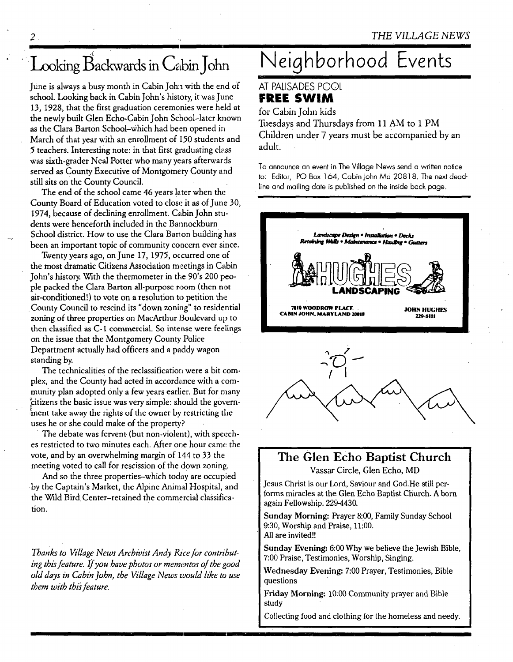## Looking Backwards in Cabin John

June is always a busy month in Cabin John with the end of school. Looking back in Cabin John's history, it was June 13, 1928, that the first graduation ceremonies were held at the newly built Glen Echo-Cabin John School-later known as the Clara Barton School-which had been opened in March of that year with an enrollment of 150 students and 5 teachers. Interesting note: in that first g~aduating class was sixth-grader Neal Potter who many years afterwards served as County Executive of Montgomery County and still sits on the County Council.

The end of the school came 46 years later when the County Board of Education voted to close it as of June 30, 1974, because of declining enrollment. Cabin John students were henceforth included in the Bannockburn School district. How to use the Clara Barton building has been an important topic of community concern ever since.

Twenty years ago, on June 17, 1975, occurred one of the most dramatic Citizens Association meetings in Cabin John's history. With the thermometer in the 90's 200 people packed the Clara Barton all-purpose room (then not air-conditioned!) to vote on a resolution to petition the County Council to rescind its "down zoning" to residential zoning of three properties on MacArthur Boulevard up to then classified as C-1 commercial. So intense were feelings on the issue that the Montgomery County Police Department actually had officers and a paddy wagon standing by.

The technicalities of the reclassification were a bit complex, and the County had acted in accordance with a community plan adopted 0nly a few years earlier. But for many ~citizens the basic issue was very simple: should the government take away the rights of the owner by restricting the uses he or she could make of the property?

The debate was fervent (but non-violent), with speeches restricted to two minutes each. After one hour came the vote, and by an overwhelming margin of 144 to 33 the meeting voted to call for rescission of the down zoning.

And so the three properties-which today are occupied by the Captain's Market, the Alpine Animal Hospital, and the Wild Bird Center-retained the commercial classification.

*Thanks to Village News Archivist Andy Rice for contributing this feature. If you have photos or mementos of the good old days in Cabin John, the Village News vaould like to use them with thi~ feature.* 

## **Neighborhood Events**

#### AT PALISADES POOL **FREE SWIM**

for Cabin John kids

Tuesdays and Thursdays from 11 AM to 1 PM Children under 7 years must be accompanied by an adult.

To announce an event in The Village News send a written notice **to:** Editor, PO Box 164, Cabin John Md 20818. The next deadline and mailing date is published on the inside back page.





#### **The Glen Echo Baptist Church**  Vassar Circle, Glen Echo, MD

Jesus Christ is our Lord, Saviour and God.He still performs miracles at the Glen Echo Baptist Church. A born again Fellowship. 229-4430.

Sunday Morning: Prayer 8:00, Family Sunday School 9:30, Worship and Praise, 11:00. All are invited!!

Sunday Evening: 6:00 Why we believe the Jewish Bible, 7:00 Praise, Testimonies, Worship, Singing.

Wednesday Evening: 7:00 Prayer, Testimonies, Bible questions

Friday Morning: 10:00 Community prayer and Bible study

Collecting food and clothing for the homeless and needy.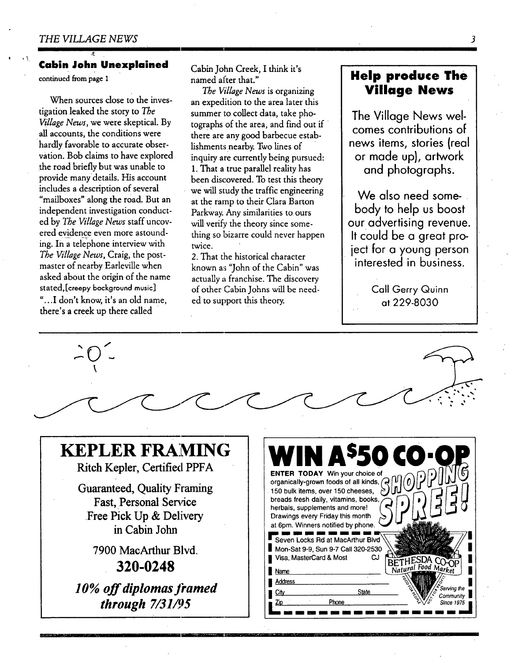#### **Cabin John Unexplained**

continued from page 1

When sources close to the investigation leaked the story to *The Village News,* we were skeptical. By all accounts, the conditions were hardly favorable to accurate observation. Bob claims to have explored the road briefly but was unable to provide manydetails. His account includes a description of several "mailboxes" along the road. But an independent investigation conducted by *The Village News* staff uncovered evidence even more astounding. In a telephone interview with *The Village News,* Craig, the postmaster of nearby Earleville when asked about the origin of the name stated,[ereepy bockground music] "...I don't know, it's an old name, there's a creek up there called

Cabin John Creek, I think it's named after that."

*The V~llage News* is organizing an expedition to the area later this summer to collect data, take photographs of the area, and find out if there are any good barbecue establishments nearby. Two lines of inquiry are currently being pursued: 1. That a true parallel reality has been discovered. To test this theory we will study the traffic engineering at the ramp to their Clara Barton Parkway. Any similarities to ours will verify the theory since something so bizarre could never happen twice.

2. That the historical character known as "John of the Cabin" was actually a franchise. The discovery of other Cabin Johns will be needed to support this theory.

#### **Help produce The Village News**

**The Village News welcomes contributions of news items, stories (real or made up), artwork and photographs.** 

**We also need somebody to help us boost our advertising revenue. It could be a great project for a young person interested in business.** 

> Call Gerry Quinn at 229-8030



IF- ! -- -- M I I11

 $\overline{\mathbf{3}}$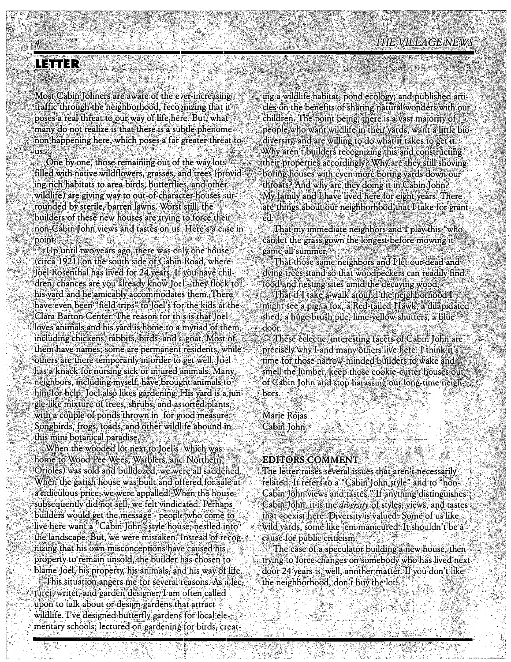## NETTER

Most Cabin Johners are aware of the ever-increasing traffic through the neighborhood, recognizing that it poses a real threat to our way of life here. But, what many do not realize is that there is a subtle phenomenon happening here, which poses a far greater threat to шš

One by one, those remaining out of the way lots filled with native wildflowers, grasses, and trees (provid ing rich habitats to area birds. butterflies, and other wildlife) are giving way to out-of-character-houses surrounded by sterile barren lawns. Worst still the builders of these new houses are trying to force their non-Cabin John views and tastes on us. Here's a case in point:

Up until two years ago, there was orly one house (circa 1921) on the south side of Cabin Road: where Toel Rosenthal has lived for 24 years. If you have children, chances are you already know Joel they flock to his yard and he amicably accommodates them. There have even been "field trips" to Joel's for the kids at the Clara Barton Center. The reason for this is that Toel loves animals and his vard is home to a myriad of them including chickens, rabbits, birds, and a goat. Most of them have names; some are permanent residents, while others are there temporarily in order to get well. [oel has a knack for nursing sick or injured animals. Many neighbors, including myself, have brought animals to him for help. Joel also likes gardening. His yard is a jun gle-like mixture of trees, shrubs, and assorted plants, with a couple of ponds thrown in for good measure. Songbirds, frogs, toads, and other wildlife abound in this mini botanical paradise.

When the wooded lot next to loel's (which was home to Wood Pee Wees, Warblers, and Northern Orioles) was sold and bulldozed, we were all saddened When the garish house was built and offered for sale at a ridiculous price, we were appalled. When the house subsequently did not sell, we felt vindicated. Perhaps builders would get the message - people who come to live here want a "Cabin Tohn" style house, nestled into the landscape. But, we were mistaken. Instead of recognizing that his own misconceptions have caused his property to remain unsold, the builder has chosen to blame Joel, his property, his animals, and his way of life This situation angers me for several reasons. As a lecturer, writer, and garden designer, I am often called upon to talk about or design gardens that attract wildlife. I've designed butterfly gardens for local elementary schools; lectured on gardening for birds, creat

ing a wildlife habitat, pond ecology, and published articles on the benefits of sharing natural wonders with our children. The point being, there is a vast majority of people who want wildlife in their vards, want a little bio diversity, and are willing to do what it takes to get it. Why aren't builders recognizing this and constructing their properties accordingly? Why are they still shoving boring houses with even more boring yards down our throats? And why are they doing it in Cabin John? My family and I have lived here for eight years. There are things about our neighborhood that I take for grant  $ed: \mathbb{Z}$ 

That my immediate neighbors and I play this "who can let the grass gown the longest before mowing it game all summer.

That those same neighbors and I let our dead and dying trees stand so that woodpeckers can readily find food and nesting sites amid the decaying wood. That if I take a walk around the neighborhood I might see a pig, a fox, a Red-tailed Hawk, a dilapidated shed, a huge brush pile, lime yellow shutters, a blue door.

These eclectic: interesting facets of Cabin John are precisely why I and many others live here. I think it's time for those narrow-minded builders to wake and smell the lumber. keep those cookie-cutter houses ou of Cabin John and stop harassing our long-time neighbors

**Marie Rojas** 

Cabin John

#### **EDITORS COMMENT**

The letter raises several issues that aren t necessarily related. It refers to a "Cabin John style" and to "non-Cabin John views and tastes." If anything distinguishes Cabin John, it is the *diversity* of styles, views, and tastes that coexist here. Diversity is valued. Some of us like wild vards. some like 'em manicured: It shouldn't be a cause for públic criticism.

The case of a speculator building a new house, then trying to force changes on somebody who has lived next door 24 years is well, another matter. If you don't like the neighborhood, don't buy the lot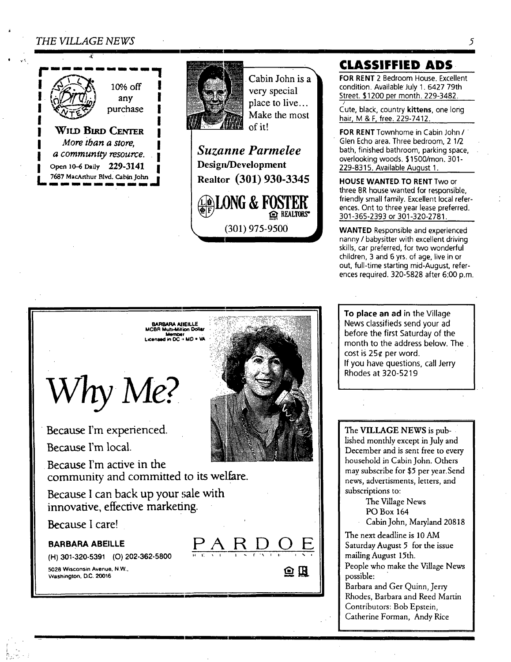#### *THE VILLAGE NEWS*

*4i* 

,,t



 $a$  community resource. Open 10-6 Daily 229-3141 7687 MacArthur Blvd. Cabin John



Cabin John is a very special place to live... Make the most of it!

*Suzanne Parmelee*  **Design/Development Realtor (301) 930-3345** 

**(301) 975-9500** 

**@LONG & FOSTEK** 

REALTORS"

### **CLASSlFFIED ADS-**

**FOR** RENT 2 Bedroom House. Excellent condition. Available July 1. 6427 79th Street. \$1200 per month. 229-3482.

J Cute, black, country kittens, one long hair, M & F, free. 229-7412.

**FOR** RENT Townhome in Cabin John / Glen Echo area. Three bedroom, 2 1/2 bath, finished bathroom, parking space, overlooking woods. \$1500/mon. 301 - 229-8315. Available Auqust 1.

**HOUSE** WANTED.TO RENT Two or three BR house wanted for responsible, friendly small family. Excellent local references. Ont to three year lease preferred. 301-365-2393 or 301-320-2781.

WANTED Responsible and experienced nanny / babysitter with excellent driving skills, car preferred, for two wonderful children, 3 and 6 yrs. of age, live in or out, full-time starting mid-August, references required. 320-5828 after 6:00 p.m.

To **place an ad** in the Village News classifieds send your ad before the first Saturday of the month to the address below. The cost is 25¢ per word. If you have questions, call Jerry Rhodes at 320-5219

The VILLAGE NEWS is published monthly except in July and December and is sent free to every household in Cabin John. Others may subscribe for \$5 per year.Send news, advertisments, letters, and subscriptions to:

The Village News

PO Box 164

Cabin John, Maryland 20818

The next deadline is 10 AM Saturday August 5 for the issue mailing August 15th.

People who make the Village News possible:

Barbara and Ger Quinn, Jerry Rhodes, Barbara and Reed Martin Contributors: Bob Epstein, Catherine Forman, Andy Rice



*Why* 

**Because I'm experienced.** 

**Because I'm local.** 

**Because I'm active in the**  community and committed to its welfare.

i

Because I can back up your sale with **innovative, effective marketing.** 

**Because I care!** 



5028 Wisconsin Avenue, N.W., **Washington, D.C. 20016** 

*f "-* 

I



**E** 

鱼瓜